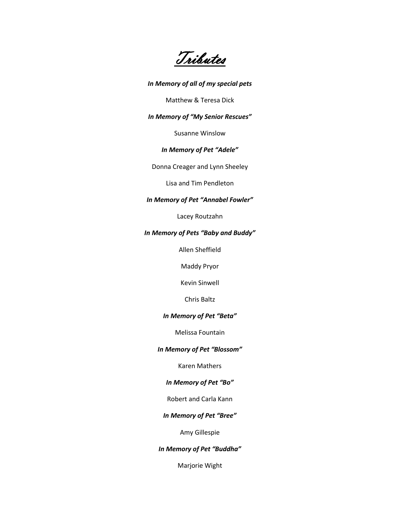Tributes

### *In Memory of all of my special pets*

Matthew & Teresa Dick

## *In Memory of "My Senior Rescues"*

Susanne Winslow

# *In Memory of Pet "Adele"*

Donna Creager and Lynn Sheeley

Lisa and Tim Pendleton

### *In Memory of Pet "Annabel Fowler"*

Lacey Routzahn

### *In Memory of Pets "Baby and Buddy"*

Allen Sheffield

Maddy Pryor

Kevin Sinwell

Chris Baltz

## *In Memory of Pet "Beta"*

Melissa Fountain

### *In Memory of Pet "Blossom"*

Karen Mathers

## *In Memory of Pet "Bo"*

Robert and Carla Kann

### *In Memory of Pet "Bree"*

Amy Gillespie

# *In Memory of Pet "Buddha"*

Marjorie Wight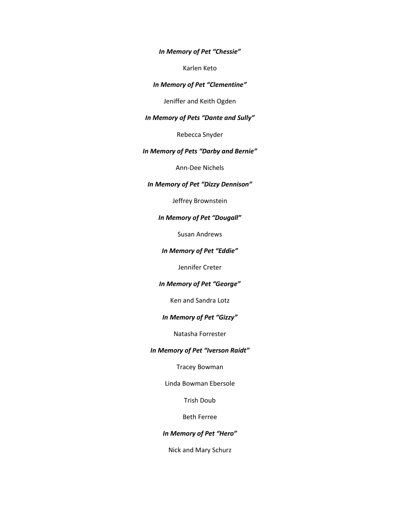*In Memory of Pet "Chessie"*

Karlen Keto

### *In Memory of Pet "Clementine"*

Jeniffer and Keith Ogden

### *In Memory of Pets "Dante and Sully"*

Rebecca Snyder

### *In Memory of Pets "Darby and Bernie"*

Ann-Dee Nichels

# *In Memory of Pet "Dizzy Dennison"*

Jeffrey Brownstein

### *In Memory of Pet "Dougall"*

Susan Andrews

#### *In Memory of Pet "Eddie"*

Jennifer Creter

### *In Memory of Pet "George"*

Ken and Sandra Lotz

### *In Memory of Pet "Gizzy"*

Natasha Forrester

### *In Memory of Pet "Iverson Raidt"*

Tracey Bowman

Linda Bowman Ebersole

Trish Doub

Beth Ferree

### *In Memory of Pet "Hero"*

Nick and Mary Schurz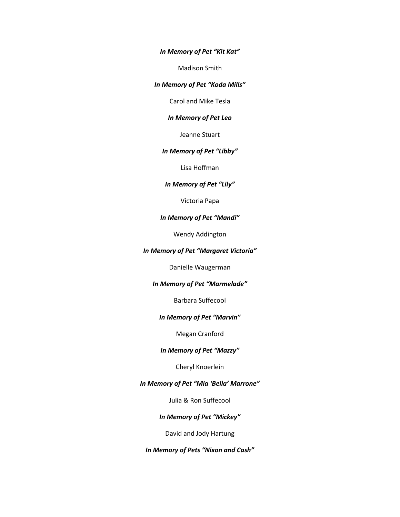*In Memory of Pet "Kit Kat"*

Madison Smith

#### *In Memory of Pet "Koda Mills"*

Carol and Mike Tesla

## *In Memory of Pet Leo*

Jeanne Stuart

## *In Memory of Pet "Libby"*

Lisa Hoffman

## *In Memory of Pet "Lily"*

Victoria Papa

#### *In Memory of Pet "Mandi"*

Wendy Addington

### *In Memory of Pet "Margaret Victoria"*

Danielle Waugerman

## *In Memory of Pet "Marmelade"*

Barbara Suffecool

#### *In Memory of Pet "Marvin"*

Megan Cranford

### *In Memory of Pet "Mazzy"*

Cheryl Knoerlein

### *In Memory of Pet "Mia 'Bella' Marrone"*

Julia & Ron Suffecool

## *In Memory of Pet "Mickey"*

David and Jody Hartung

*In Memory of Pets "Nixon and Cash"*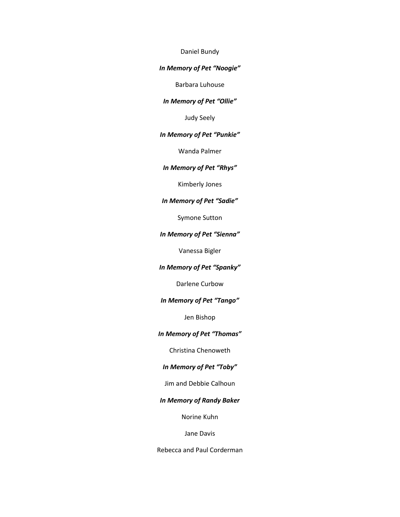#### Daniel Bundy

#### *In Memory of Pet "Noogie"*

Barbara Luhouse

### *In Memory of Pet "Ollie"*

Judy Seely

#### *In Memory of Pet "Punkie"*

Wanda Palmer

### *In Memory of Pet "Rhys"*

Kimberly Jones

### *In Memory of Pet "Sadie"*

Symone Sutton

### *In Memory of Pet "Sienna"*

Vanessa Bigler

### *In Memory of Pet "Spanky"*

Darlene Curbow

### *In Memory of Pet "Tango"*

Jen Bishop

## *In Memory of Pet "Thomas"*

Christina Chenoweth

# *In Memory of Pet "Toby"*

### Jim and Debbie Calhoun

### *In Memory of Randy Baker*

Norine Kuhn

### Jane Davis

Rebecca and Paul Corderman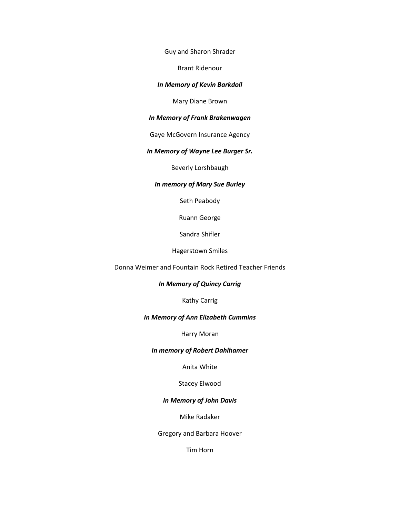Guy and Sharon Shrader

Brant Ridenour

### *In Memory of Kevin Barkdoll*

Mary Diane Brown

### *In Memory of Frank Brakenwagen*

Gaye McGovern Insurance Agency

## *In Memory of Wayne Lee Burger Sr.*

Beverly Lorshbaugh

#### *In memory of Mary Sue Burley*

Seth Peabody

Ruann George

Sandra Shifler

Hagerstown Smiles

Donna Weimer and Fountain Rock Retired Teacher Friends

#### *In Memory of Quincy Carrig*

Kathy Carrig

#### *In Memory of Ann Elizabeth Cummins*

Harry Moran

#### *In memory of Robert Dahlhamer*

Anita White

Stacey Elwood

### *In Memory of John Davis*

Mike Radaker

Gregory and Barbara Hoover

Tim Horn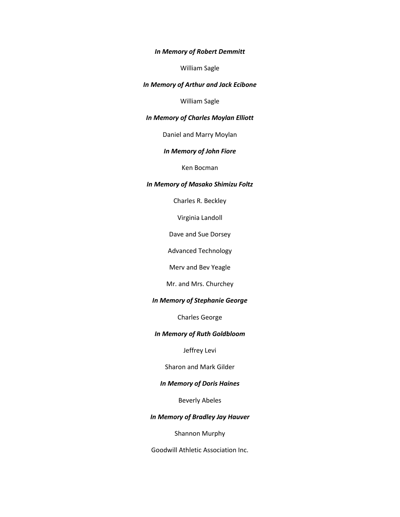#### *In Memory of Robert Demmitt*

William Sagle

### *In Memory of Arthur and Jack Ecibone*

William Sagle

### *In Memory of Charles Moylan Elliott*

Daniel and Marry Moylan

### *In Memory of John Fiore*

Ken Bocman

#### *In Memory of Masako Shimizu Foltz*

Charles R. Beckley

Virginia Landoll

Dave and Sue Dorsey

Advanced Technology

Merv and Bev Yeagle

Mr. and Mrs. Churchey

### *In Memory of Stephanie George*

Charles George

#### *In Memory of Ruth Goldbloom*

Jeffrey Levi

Sharon and Mark Gilder

### *In Memory of Doris Haines*

Beverly Abeles

### *In Memory of Bradley Jay Hauver*

Shannon Murphy

Goodwill Athletic Association Inc.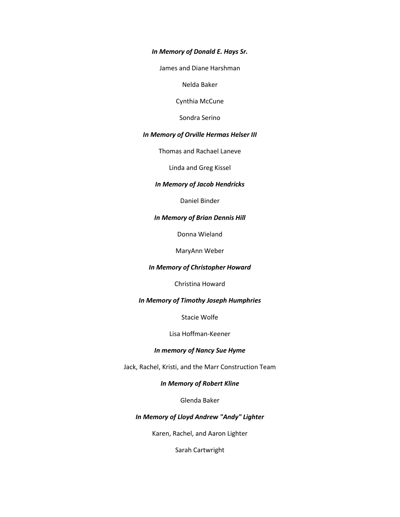### *In Memory of Donald E. Hays Sr.*

James and Diane Harshman

Nelda Baker

Cynthia McCune

Sondra Serino

#### *In Memory of Orville Hermas Helser III*

Thomas and Rachael Laneve

Linda and Greg Kissel

### *In Memory of Jacob Hendricks*

Daniel Binder

### *In Memory of Brian Dennis Hill*

Donna Wieland

MaryAnn Weber

#### *In Memory of Christopher Howard*

Christina Howard

### *In Memory of Timothy Joseph Humphries*

Stacie Wolfe

### Lisa Hoffman-Keener

### *In memory of Nancy Sue Hyme*

Jack, Rachel, Kristi, and the Marr Construction Team

### *In Memory of Robert Kline*

Glenda Baker

### *In Memory of Lloyd Andrew "Andy" Lighter*

Karen, Rachel, and Aaron Lighter

Sarah Cartwright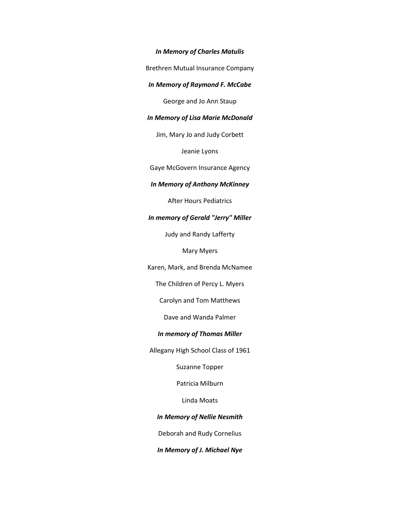*In Memory of Charles Matulis*

Brethren Mutual Insurance Company

#### *In Memory of Raymond F. McCabe*

George and Jo Ann Staup

### *In Memory of Lisa Marie McDonald*

Jim, Mary Jo and Judy Corbett

Jeanie Lyons

Gaye McGovern Insurance Agency

### *In Memory of Anthony McKinney*

After Hours Pediatrics

#### *In memory of Gerald "Jerry" Miller*

Judy and Randy Lafferty

Mary Myers

Karen, Mark, and Brenda McNamee

The Children of Percy L. Myers

Carolyn and Tom Matthews

Dave and Wanda Palmer

#### *In memory of Thomas Miller*

Allegany High School Class of 1961

Suzanne Topper

Patricia Milburn

Linda Moats

*In Memory of Nellie Nesmith*

Deborah and Rudy Cornelius

*In Memory of J. Michael Nye*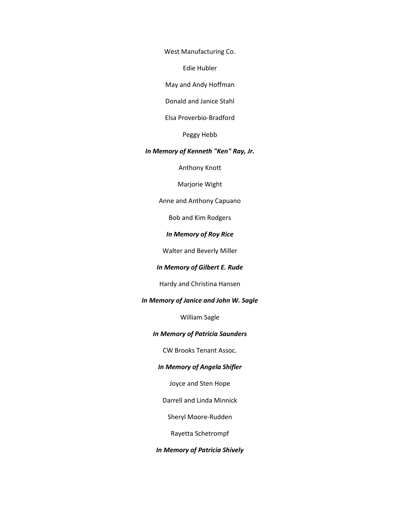West Manufacturing Co.

Edie Hubler

May and Andy Hoffman

Donald and Janice Stahl

Elsa Proverbio-Bradford

Peggy Hebb

#### *In Memory of Kenneth "Ken" Ray, Jr.*

Anthony Knott

Marjorie Wight

Anne and Anthony Capuano

Bob and Kim Rodgers

### *In Memory of Roy Rice*

Walter and Beverly Miller

### *In Memory of Gilbert E. Rude*

Hardy and Christina Hansen

### *In Memory of Janice and John W. Sagle*

William Sagle

## *In Memory of Patricia Saunders*

CW Brooks Tenant Assoc.

### *In Memory of Angela Shifler*

Joyce and Sten Hope

Darrell and Linda Minnick

Sheryl Moore-Rudden

Rayetta Schetrompf

### *In Memory of Patricia Shively*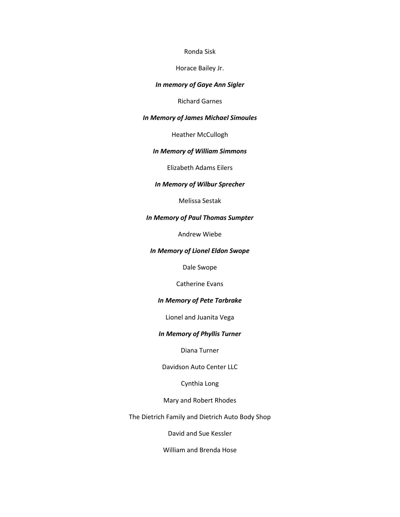#### Ronda Sisk

Horace Bailey Jr.

### *In memory of Gaye Ann Sigler*

Richard Garnes

### *In Memory of James Michael Simoules*

Heather McCullogh

## *In Memory of William Simmons*

Elizabeth Adams Eilers

### *In Memory of Wilbur Sprecher*

Melissa Sestak

### *In Memory of Paul Thomas Sumpter*

Andrew Wiebe

### *In Memory of Lionel Eldon Swope*

Dale Swope

Catherine Evans

### *In Memory of Pete Tarbrake*

Lionel and Juanita Vega

## *In Memory of Phyllis Turner*

Diana Turner

Davidson Auto Center LLC

Cynthia Long

Mary and Robert Rhodes

The Dietrich Family and Dietrich Auto Body Shop

David and Sue Kessler

William and Brenda Hose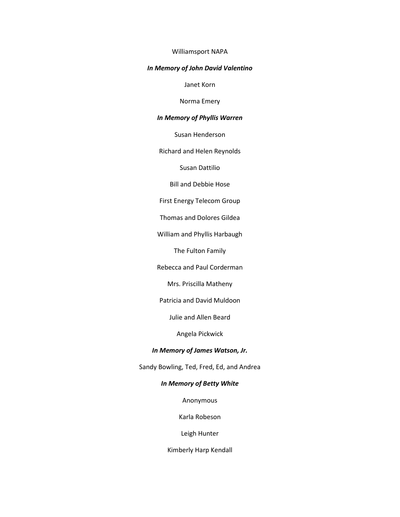#### Williamsport NAPA

#### *In Memory of John David Valentino*

Janet Korn

Norma Emery

### *In Memory of Phyllis Warren*

Susan Henderson

Richard and Helen Reynolds

Susan Dattilio

Bill and Debbie Hose

First Energy Telecom Group

Thomas and Dolores Gildea

William and Phyllis Harbaugh

The Fulton Family

Rebecca and Paul Corderman

Mrs. Priscilla Matheny

Patricia and David Muldoon

Julie and Allen Beard

Angela Pickwick

### *In Memory of James Watson, Jr.*

Sandy Bowling, Ted, Fred, Ed, and Andrea

### *In Memory of Betty White*

Anonymous

Karla Robeson

Leigh Hunter

Kimberly Harp Kendall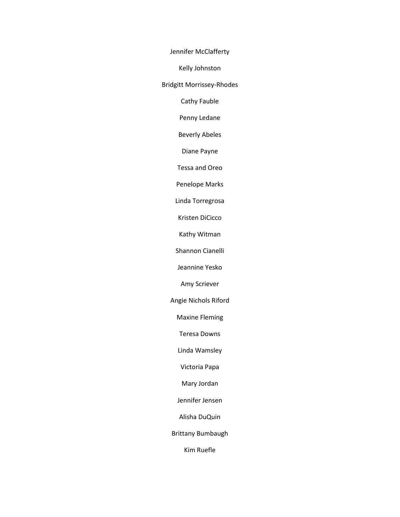Jennifer McClafferty

Kelly Johnston

Bridgitt Morrissey-Rhodes

Cathy Fauble

Penny Ledane

Beverly Abeles

Diane Payne

Tessa and Oreo

Penelope Marks

Linda Torregrosa

Kristen DiCicco

Kathy Witman

Shannon Cianelli

Jeannine Yesko

Amy Scriever

Angie Nichols Riford

Maxine Fleming

Teresa Downs

Linda Wamsley

Victoria Papa

Mary Jordan

Jennifer Jensen

Alisha DuQuin

Brittany Bumbaugh

Kim Ruefle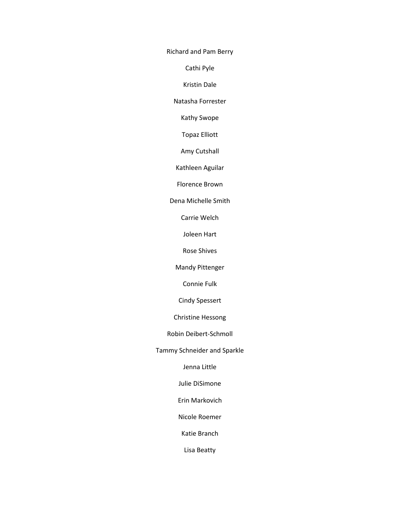Richard and Pam Berry

Cathi Pyle

Kristin Dale

Natasha Forrester

Kathy Swope

Topaz Elliott

Amy Cutshall

Kathleen Aguilar

Florence Brown

Dena Michelle Smith

Carrie Welch

Joleen Hart

Rose Shives

Mandy Pittenger

Connie Fulk

Cindy Spessert

Christine Hessong

Robin Deibert-Schmoll

Tammy Schneider and Sparkle

Jenna Little

Julie DiSimone

Erin Markovich

Nicole Roemer

Katie Branch

Lisa Beatty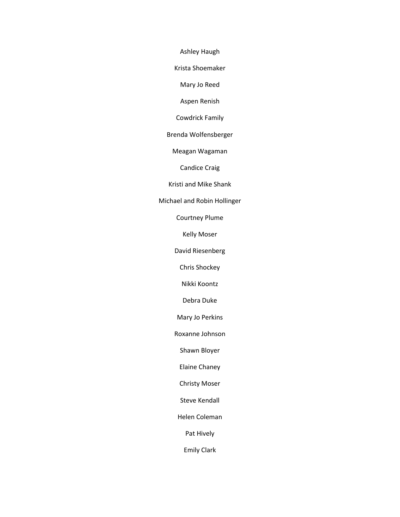Ashley Haugh

Krista Shoemaker

Mary Jo Reed

Aspen Renish

Cowdrick Family

Brenda Wolfensberger

Meagan Wagaman

Candice Craig

Kristi and Mike Shank

Michael and Robin Hollinger

Courtney Plume

Kelly Moser

David Riesenberg

Chris Shockey

Nikki Koontz

Debra Duke

Mary Jo Perkins

Roxanne Johnson

Shawn Bloyer

Elaine Chaney

Christy Moser

Steve Kendall

Helen Coleman

Pat Hively

Emily Clark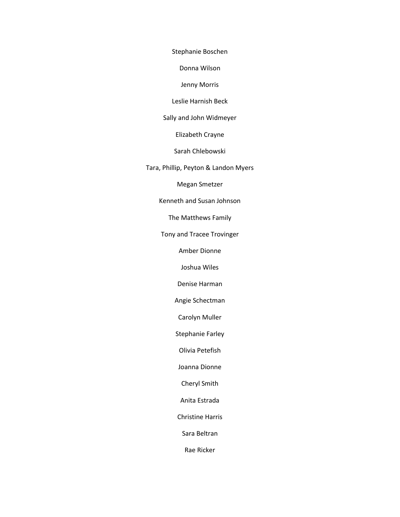Stephanie Boschen

Donna Wilson

Jenny Morris

Leslie Harnish Beck

Sally and John Widmeyer

Elizabeth Crayne

Sarah Chlebowski

Tara, Phillip, Peyton & Landon Myers

Megan Smetzer

Kenneth and Susan Johnson

The Matthews Family

Tony and Tracee Trovinger

Amber Dionne

Joshua Wiles

Denise Harman

Angie Schectman

Carolyn Muller

Stephanie Farley

Olivia Petefish

Joanna Dionne

Cheryl Smith

Anita Estrada

Christine Harris

Sara Beltran

Rae Ricker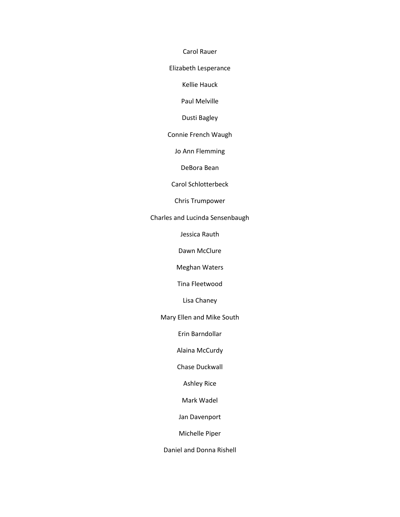Carol Rauer

Elizabeth Lesperance

Kellie Hauck

Paul Melville

Dusti Bagley

Connie French Waugh

Jo Ann Flemming

DeBora Bean

Carol Schlotterbeck

Chris Trumpower

Charles and Lucinda Sensenbaugh

Jessica Rauth

Dawn McClure

Meghan Waters

Tina Fleetwood

Lisa Chaney

Mary Ellen and Mike South

Erin Barndollar

Alaina McCurdy

Chase Duckwall

Ashley Rice

Mark Wadel

Jan Davenport

Michelle Piper

Daniel and Donna Rishell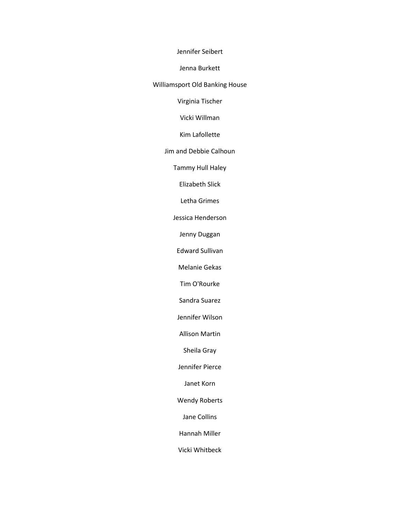Jennifer Seibert

Jenna Burkett

Williamsport Old Banking House

Virginia Tischer

Vicki Willman

Kim Lafollette

Jim and Debbie Calhoun

Tammy Hull Haley

Elizabeth Slick

Letha Grimes

Jessica Henderson

Jenny Duggan

Edward Sullivan

Melanie Gekas

Tim O'Rourke

Sandra Suarez

Jennifer Wilson

Allison Martin

Sheila Gray

Jennifer Pierce

Janet Korn

Wendy Roberts

Jane Collins

Hannah Miller

Vicki Whitbeck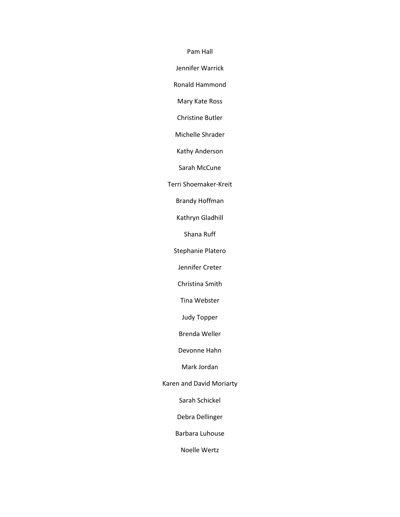Pam Hall

Jennifer Warrick

Ronald Hammond

Mary Kate Ross

Christine Butler

Michelle Shrader

Kathy Anderson

Sarah McCune

Terri Shoemaker-Kreit

Brandy Hoffman

Kathryn Gladhill

Shana Ruff

Stephanie Platero

Jennifer Creter

Christina Smith

Tina Webster

Judy Topper

Brenda Weller

Devonne Hahn

Mark Jordan

Karen and David Moriarty

Sarah Schickel

Debra Dellinger

Barbara Luhouse

Noelle Wertz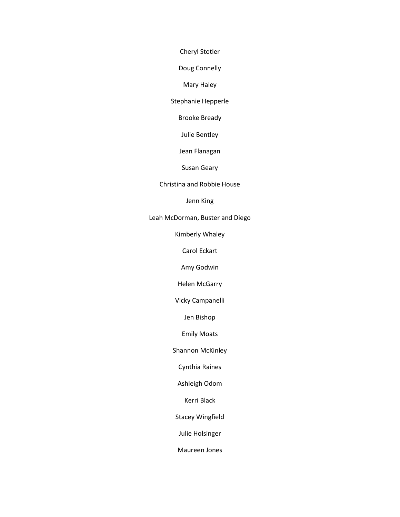Cheryl Stotler

Doug Connelly

### Mary Haley

Stephanie Hepperle

Brooke Bready

Julie Bentley

Jean Flanagan

Susan Geary

## Christina and Robbie House

Jenn King

Leah McDorman, Buster and Diego

Kimberly Whaley

Carol Eckart

Amy Godwin

Helen McGarry

Vicky Campanelli

Jen Bishop

Emily Moats

Shannon McKinley

Cynthia Raines

Ashleigh Odom

Kerri Black

Stacey Wingfield

Julie Holsinger

Maureen Jones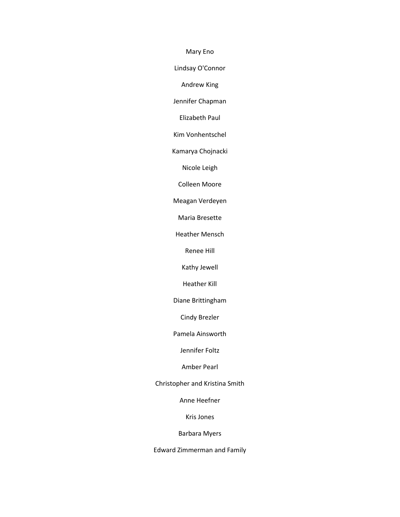Mary Eno

Lindsay O'Connor

Andrew King

Jennifer Chapman

Elizabeth Paul

Kim Vonhentschel

Kamarya Chojnacki

Nicole Leigh

Colleen Moore

Meagan Verdeyen

Maria Bresette

Heather Mensch

Renee Hill

Kathy Jewell

Heather Kill

Diane Brittingham

Cindy Brezler

Pamela Ainsworth

Jennifer Foltz

Amber Pearl

Christopher and Kristina Smith

Anne Heefner

Kris Jones

Barbara Myers

Edward Zimmerman and Family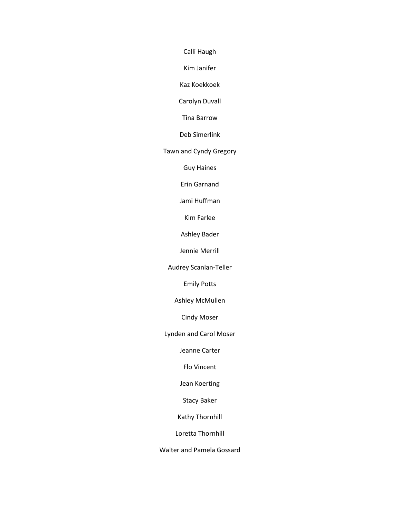Calli Haugh

Kim Janifer

Kaz Koekkoek

Carolyn Duvall

Tina Barrow

Deb Simerlink

Tawn and Cyndy Gregory

Guy Haines

Erin Garnand

Jami Huffman

Kim Farlee

Ashley Bader

Jennie Merrill

Audrey Scanlan-Teller

Emily Potts

Ashley McMullen

Cindy Moser

Lynden and Carol Moser

Jeanne Carter

Flo Vincent

Jean Koerting

Stacy Baker

Kathy Thornhill

Loretta Thornhill

Walter and Pamela Gossard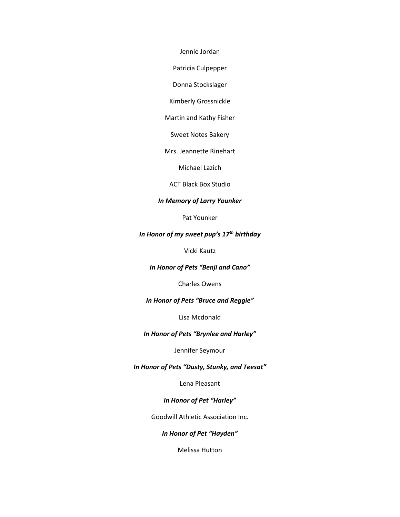Jennie Jordan

Patricia Culpepper

Donna Stockslager

Kimberly Grossnickle

Martin and Kathy Fisher

Sweet Notes Bakery

Mrs. Jeannette Rinehart

Michael Lazich

ACT Black Box Studio

### *In Memory of Larry Younker*

Pat Younker

# *In Honor of my sweet pup's 17th birthday*

Vicki Kautz

*In Honor of Pets "Benji and Cano"*

Charles Owens

*In Honor of Pets "Bruce and Reggie"*

Lisa Mcdonald

## *In Honor of Pets "Brynlee and Harley"*

Jennifer Seymour

### *In Honor of Pets "Dusty, Stunky, and Teesat"*

Lena Pleasant

### *In Honor of Pet "Harley"*

Goodwill Athletic Association Inc.

*In Honor of Pet "Hayden"*

Melissa Hutton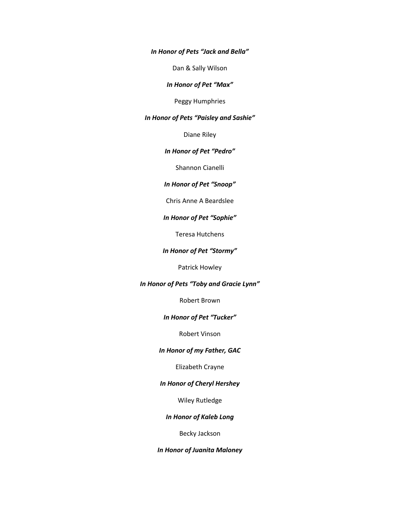*In Honor of Pets "Jack and Bella"*

Dan & Sally Wilson

*In Honor of Pet "Max"*

Peggy Humphries

### *In Honor of Pets "Paisley and Sashie"*

Diane Riley

## *In Honor of Pet "Pedro"*

Shannon Cianelli

## *In Honor of Pet "Snoop"*

#### Chris Anne A Beardslee

#### *In Honor of Pet "Sophie"*

Teresa Hutchens

### *In Honor of Pet "Stormy"*

Patrick Howley

### *In Honor of Pets "Toby and Gracie Lynn"*

Robert Brown

#### *In Honor of Pet "Tucker"*

Robert Vinson

### *In Honor of my Father, GAC*

Elizabeth Crayne

## *In Honor of Cheryl Hershey*

Wiley Rutledge

### *In Honor of Kaleb Long*

Becky Jackson

### *In Honor of Juanita Maloney*